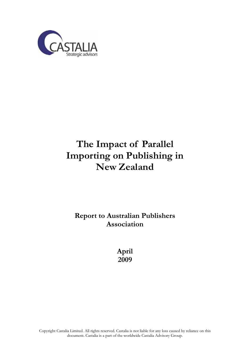

# **The Impact of Parallel Importing on Publishing in New Zealand**

**Report to Australian Publishers Association** 

> **April 2009**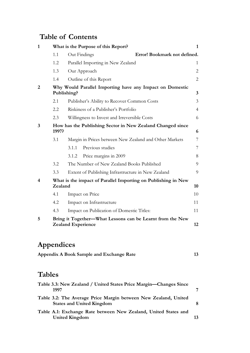# **Table of Contents**

| $\mathbf{1}$     |             | What is the Purpose of this Report?                                                    | $\mathbf{1}$   |
|------------------|-------------|----------------------------------------------------------------------------------------|----------------|
|                  | 1.1         | Error! Bookmark not defined.<br>Out Findings                                           |                |
|                  | 1.2         | Parallel Importing in New Zealand                                                      | 1              |
|                  | 1.3         | Our Approach                                                                           | $\overline{2}$ |
|                  | 1.4         | Outline of this Report                                                                 | $\overline{2}$ |
| $\overline{2}$   | Publishing? | Why Would Parallel Importing have any Impact on Domestic                               | $\overline{3}$ |
|                  | 2.1         | Publisher's Ability to Recover Common Costs                                            | 3              |
|                  | 2.2         | Riskiness of a Publisher's Portfolio                                                   | $\overline{4}$ |
|                  | 2.3         | Willingness to Invest and Irreversible Costs                                           | 6              |
| 3                | 1997?       | How has the Publishing Sector in New Zealand Changed since                             | 6              |
|                  | 3.1         | Margin in Prices between New Zealand and Other Markets                                 | 7              |
|                  |             | Previous studies<br>3.1.1                                                              | 7              |
|                  |             | 3.1.2<br>Price margins in 2009                                                         | 8              |
|                  | 3.2         | The Number of New Zealand Books Published                                              | 9              |
|                  | 3.3         | Extent of Publishing Infrastructure in New Zealand                                     | 9              |
| $\boldsymbol{4}$ | Zealand     | What is the impact of Parallel Importing on Publishing in New                          | 10             |
|                  | 4.1         | Impact on Price                                                                        | 10             |
|                  | 4.2         | Impact on Infrastructure                                                               | 11             |
|                  | 4.3         | Impact on Publication of Domestic Titles:                                              | 11             |
| 5                |             | Bring it Together—What Lessons can be Learnt from the New<br><b>Zealand Experience</b> | 12             |

# **Appendices**

| Appendix A Book Sample and Exchange Rate |  |
|------------------------------------------|--|
|------------------------------------------|--|

# **Tables**

| Table 3.3: New Zealand / United States Price Margin-Changes Since<br>1997                           |    |
|-----------------------------------------------------------------------------------------------------|----|
| Table 3.2: The Average Price Margin between New Zealand, United<br><b>States and United Kingdom</b> |    |
| Table A.1: Exchange Rate between New Zealand, United States and<br><b>United Kingdom</b>            | 13 |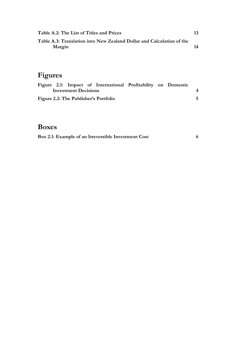| Table A.2: The List of Titles and Prices                                        | 13 |
|---------------------------------------------------------------------------------|----|
| Table A.3: Translation into New Zealand Dollar and Calculation of the<br>Margin | 14 |
|                                                                                 |    |

# **Figures**

|                             |  |  |  | Figure 2.1: Impact of International Profitability on Domestic |  |  |  |
|-----------------------------|--|--|--|---------------------------------------------------------------|--|--|--|
| <b>Investment Decisions</b> |  |  |  |                                                               |  |  |  |
|                             |  |  |  | Figure 2.2: The Publisher's Portfolio                         |  |  |  |

# **Boxes**

| Box 2.1: Example of an Irreversible Investment Cost |  |
|-----------------------------------------------------|--|
|                                                     |  |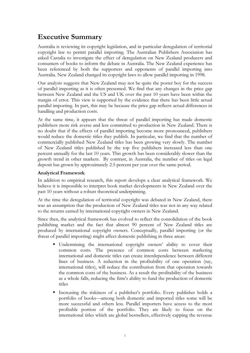# **Executive Summary**

Australia is reviewing its copyright legislation, and in particular deregulation of territorial copyright law to permit parallel importing. The Australian Publishers Association has asked Castalia to investigate the effect of deregulation on New Zealand producers and consumers of books to inform the debate in Australia. The New Zealand experience has been referenced by both the supporters and opponents of parallel importing into Australia. New Zealand changed its copyright laws to allow parallel importing in 1998.

Our analysis suggests that New Zealand may not be quite the poster boy for the success of parallel importing as it is often presented. We find that any changes in the price gap between New Zealand and the US and UK over the past 10 years have been within the margin of error. This view is supported by the evidence that there has been little actual parallel importing. In part, this may be because the price gap reflects actual differences in handling and production costs.

At the same time, it appears that the threat of parallel importing has made domestic publishers more risk averse and less committed to production in New Zealand. There is no doubt that if the effects of parallel importing become more pronounced, publishers would reduce the domestic titles they publish. In particular, we find that the number of commercially published New Zealand titles has been growing very slowly. The number of New Zealand titles published by the top five publishers increased less than one percent annually for the last 10 years. This growth has been considerably slower than the growth trend in other markets. By contrast, in Australia, the number of titles on legal deposit has grown by approximately 2.5 percent per year over the same period.

#### **Analytical Framework**

In addition to empirical research, this report develops a clear analytical framework. We believe it is impossible to interpret book market developments in New Zealand over the past 10 years without a robust theoretical underpinning.

At the time the deregulation of territorial copyright was debated in New Zealand, there was an assumption that the production of New Zealand titles was not in any way related to the returns earned by international copyright owners in New Zealand.

Since then, the analytical framework has evolved to reflect the consolidation of the book publishing market and the fact that almost 90 percent of New Zealand titles are produced by international copyright owners. Conceptually, parallel importing (or the threat of parallel importing) might affect domestic publishing in three areas:

- Undermining the international copyright owners' ability to cover their common costs. The presence of common costs between marketing international and domestic titles can create interdependence between different lines of business. A reduction in the profitability of one operation (say, international titles), will reduce the contribution from that operation towards the common costs of the business. As a result the profitability of the business as a whole falls, reducing the firm's ability to fund the production of domestic titles
- - Increasing the riskiness of a publisher's portfolio. Every publisher holds a portfolio of books—among both domestic and imported titles some will be more successful and others less. Parallel importers have access to the most profitable portion of the portfolio. They are likely to focus on the international titles which are global bestsellers, effectively capping the revenue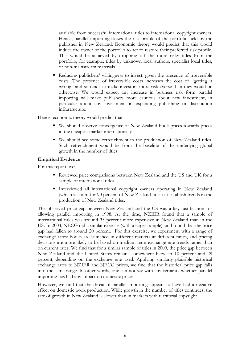available from successful international titles to international copyright owners. Hence, parallel importing skews the risk profile of the portfolio held by the publisher in New Zealand. Economic theory would predict that this would induce the owner of the portfolio to act to restore their preferred risk profile. This would be achieved by dropping off the more risky titles from the portfolio, for example, titles by unknown local authors, specialist local titles, or non-mainstream materials

- Reducing publishers' willingness to invest, given the presence of irreversible costs. The presence of irreversible costs increases the cost of "getting it wrong" and so tends to make investors more risk averse than they would be otherwise. We would expect any increase in business risk form parallel importing will make publishers more cautious about new investment, in particular about any investment in expanding publishing or distribution infrastructure.

Hence, economic theory would predict that:

- We should observe convergence of New Zealand book prices towards prices in the cheapest market internationally
- We should see some retrenchment in the production of New Zealand titles. Such retrenchment would be from the baseline of the underlying global growth in the number of titles.

#### **Empirical Evidence**

For this report, we:

- Reviewed price comparisons between New Zealand and the US and UK for a sample of international titles.
- Interviewed all international copyright owners operating in New Zealand (which account for 90 percent of New Zealand titles) to establish trends in the production of New Zealand titles.

The observed price gap between New Zealand and the US was a key justification for allowing parallel importing in 1998. At the time, NZIER found that a sample of international titles was around 35 percent more expensive in New Zealand than in the US. In 2004, NECG did a similar exercise (with a larger sample), and found that the price gap had fallen to around 20 percent. For this exercise, we experiment with a range of exchange rates: books are launched in different markets at different times, and pricing decisions are more likely to be based on medium-term exchange rate trends rather than on current rates. We find that for a similar sample of titles in 2009, the price gap between New Zealand and the United States remains somewhere between 10 percent and 29 percent, depending on the exchange rate used. Applying similarly plausible historical exchange rates to NZIER and NECG prices, we find that the historical price gap falls into the same range. In other words, one can not say with any certainty whether parallel importing has had any impact on domestic prices.

However, we find that the threat of parallel importing appears to have had a negative effect on domestic book production. While growth in the number of titles continues, the rate of growth in New Zealand is slower than in markets with territorial copyright.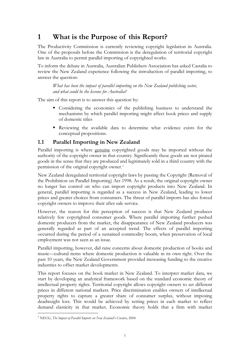# **1 What is the Purpose of this Report?**

The Productivity Commission is currently reviewing copyright legislation in Australia. One of the proposals before the Commission is the deregulation of territorial copyright law in Australia to permit parallel importing of copyrighted works.

To inform the debate in Australia, Australian Publishers Association has asked Castalia to review the New Zealand experience following the introduction of parallel importing, to answer the question:

*What has been the impact of parallel importing on the New Zealand publishing sector, and what could be the lessons for Australia?* 

The aim of this report is to answer this question by:

- Considering the economics of the publishing business to understand the mechanisms by which parallel importing might affect book prices and supply of domestic titles
- Reviewing the available data to determine what evidence exists for the conceptual propositions.

### **1.1 Parallel Importing in New Zealand**

Parallel importing is where genuine copyrighted goods may be imported without the authority of the copyright owner in that country. Significantly these goods are not pirated goods in the sense that they are produced and legitimately sold in a third country with the permission of the original copyright owner.*<sup>1</sup>*

New Zealand deregulated territorial copyright laws by passing the Copyright (Removal of the Prohibition on Parallel Importing) Act 1998. As a result, the original copyright owner no longer has control on who can import copyright products into New Zealand. In general, parallel importing is regarded as a success in New Zealand, leading to lower prices and greater choices from consumers. The threat of parallel imports has also forced copyright owners to improve their after sale service.

However, the reason for this perception of success is that New Zealand produces relatively few copyrighted consumer goods. Where parallel importing further pushed domestic producers from the market, the disappearance of New Zealand producers was generally regarded as part of an accepted trend. The effects of parallel importing occurred during the period of a sustained commodity boom, when preservation of local employment was not seen as an issue.

Parallel importing, however, did raise concerns about domestic production of books and music—cultural items where domestic production is valuable in its own right. Over the past 10 years, the New Zealand Government provided increasing funding to the creative industries to offset market developments.

This report focuses on the book market in New Zealand. To interpret market data, we start by developing an analytical framework based on the standard economic theory of intellectual property rights. Territorial copyright allows copyright owners to set different prices in different national markets. Price discrimination enables owners of intellectual property rights to capture a greater share of consumer surplus, without imposing deadweight loss. This would be achieved by setting prices in each market to reflect demand elasticity in that market. Economic theory holds that a firm with market

 $\overline{a}$ 1 NECG, *The Impact of Parallel Imports on New Zealand's Creative*, 2004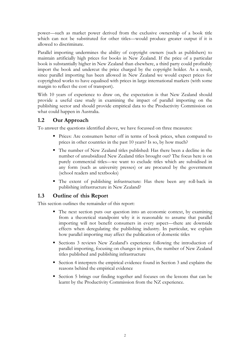power—such as market power derived from the exclusive ownership of a book title which can not be substituted for other titles—would produce greater output if it is allowed to discriminate.

Parallel importing undermines the ability of copyright owners (such as publishers) to maintain artificially high prices for books in New Zealand. If the price of a particular book is substantially higher in New Zealand than elsewhere, a third party could profitably import the book and undercut the price charged by the copyright holder. As a result, since parallel importing has been allowed in New Zealand we would expect prices for copyrighted works to have equalised with prices in large international markets (with some margin to reflect the cost of transport).

With 10 years of experience to draw on, the expectation is that New Zealand should provide a useful case study in examining the impact of parallel importing on the publishing sector and should provide empirical data to the Productivity Commission on what could happen in Australia.

### **1.2 Our Approach**

To answer the questions identified above, we have focussed on three measures:

- Prices: Are consumers better off in terms of book prices, when compared to prices in other countries in the past 10 years? Is so, by how much?
- - The number of New Zealand titles published: Has there been a decline in the number of unsubsidized New Zealand titles brought out? The focus here is on purely commercial titles—we want to exclude titles which are subsidised in any form (such as university presses) or are procured by the government (school readers and textbooks)
- The extent of publishing infrastructure: Has there been any roll-back in publishing infrastructure in New Zealand?

### **1.3 Outline of this Report**

This section outlines the remainder of this report:

- The next section puts our question into an economic context, by examining from a theoretical standpoint why it is reasonable to assume that parallel importing will not benefit consumers in every aspect—there are downside effects when deregulating the publishing industry. In particular, we explain how parallel importing may affect the publication of domestic titles
- - Sections 3 reviews New Zealand's experience following the introduction of parallel importing, focusing on changes in prices, the number of New Zealand titles published and publishing infrastructure
- Section 4 interprets the empirical evidence found in Section 3 and explains the reasons behind the empirical evidence
- - Section 5 brings our finding together and focuses on the lessons that can be learnt by the Productivity Commission from the NZ experience.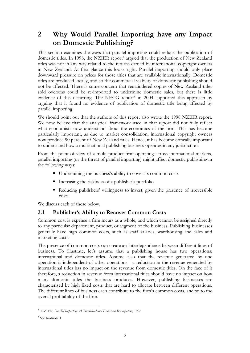# **2 Why Would Parallel Importing have any Impact on Domestic Publishing?**

This section examines the ways that parallel importing could reduce the publication of domestic titles. In 1998, the NZIER report<sup>2</sup> argued that the production of New Zealand titles was not in any way related to the returns earned by international copyright owners in New Zealand. At first glance this looks right. Parallel importing should only place downward pressure on prices for those titles that are available internationally. Domestic titles are produced locally, and so the commercial viability of domestic publishing should not be affected. There is some concern that remaindered copies of New Zealand titles sold overseas could be re-imported to undermine domestic sales, but there is little evidence of this occurring. The NECG report<sup>3</sup> in 2004 supported this approach by arguing that it found no evidence of publication of domestic title being affected by parallel importing.

We should point out that the authors of this report also wrote the 1998 NZIER report. We now believe that the analytical framework used in that report did not fully reflect what economists now understand about the economics of the firm. This has become particularly important, as due to market consolidation, international copyright owners now produce 90 percent of New Zealand titles. Hence, it has become critically important to understand how a multinational publishing business operates in any jurisdiction.

From the point of view of a multi-product firm operating across international markets, parallel importing (or the threat of parallel importing) might affect domestic publishing in the following ways:

- Undermining the business's ability to cover its common costs
- Increasing the riskiness of a publisher's portfolio
- - Reducing publishers' willingness to invest, given the presence of irreversible costs

We discuss each of these below.

### **2.1 Publisher's Ability to Recover Common Costs**

Common cost is expense a firm incurs as a whole, and which cannot be assigned directly to any particular department, product, or segment of the business. Publishing businesses generally have high common costs, such as staff salaries, warehousing and sales and marketing costs.

The presence of common costs can create an interdependence between different lines of business. To illustrate, let's assume that a publishing house has two operations: international and domestic titles. Assume also that the revenue generated by one operation is independent of other operations—a reduction in the revenue generated by international titles has no impact on the revenue from domestic titles. On the face of it therefore, a reduction in revenue from international titles should have no impact on how many domestic titles the business produces. However, publishing businesses are characterised by high fixed costs that are hard to allocate between different operations. The different lines of business each contribute to the firm's common costs, and so to the overall profitability of the firm.

 2 NZIER, *Parallel Importing: A Theoretical and Empirical Investigation,* 1998

<sup>&</sup>lt;sup>3</sup> See footnote 1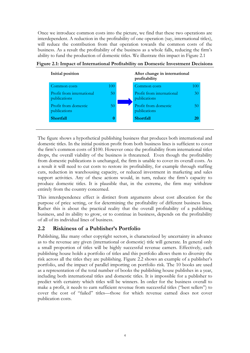Once we introduce common costs into the picture, we find that these two operations are interdependent. A reduction in the profitability of one operation (say, international titles), will reduce the contribution from that operation towards the common costs of the business. As a result the profitability of the business as a whole falls, reducing the firm's ability to fund the production of domestic titles. We illustrate this impact in Figure 2.1



|  |  | Figure 2.1: Impact of International Profitability on Domestic Investment Decisions |
|--|--|------------------------------------------------------------------------------------|
|  |  |                                                                                    |

The figure shows a hypothetical publishing business that produces both international and domestic titles. In the initial position profit from both business lines is sufficient to cover the firm's common costs of \$100. However once the profitability from international titles drops, the overall viability of the business is threatened. Even though the profitability from domestic publications is unchanged, the firm is unable to cover its overall costs. As a result it will need to cut costs to restore its profitability, for example through staffing cuts, reduction in warehousing capacity, or reduced investment in marketing and sales support activities. Any of these actions would, in turn, reduce the firm's capacity to produce domestic titles. It is plausible that, in the extreme, the firm may withdraw entirely from the country concerned.

This interdependence effect is distinct from arguments about cost allocation for the purpose of price setting, or for determining the profitability of different business lines. Rather this is about the practical reality that the overall profitability of a publishing business, and its ability to grow, or to continue in business, depends on the profitability of all of its individual lines of business.

## **2.2 Riskiness of a Publisher's Portfolio**

Publishing, like many other copyright sectors, is characterized by uncertainty in advance as to the revenue any given (international or domestic) title will generate. In general only a small proportion of titles will be highly successful revenue earners. Effectively, each publishing house holds a portfolio of titles and this portfolio allows them to diversity the risk across all the titles they are publishing. Figure 2.2 shows an example of a publisher's portfolio, and the impact of parallel importing on portfolio risk. The 10 books are used as a representation of the total number of books the publishing house publishes in a year, including both international titles and domestic titles. It is impossible for a publisher to predict with certainty which titles will be winners. In order for the business overall to make a profit, it needs to earn sufficient revenue from successful titles ("best sellers") to cover the cost of "failed" titles—those for which revenue earned does not cover publication costs.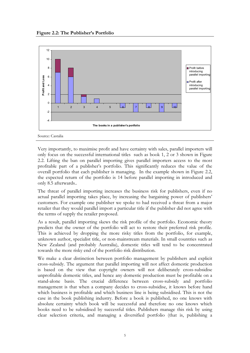

Very importantly, to maximise profit and have certainty with sales, parallel importers will only focus on the successful international titles such as book 1, 2 or 3 shown in Figure 2.2. Lifting the ban on parallel importing gives parallel importers access to the most profitable part of a publisher's portfolio. This significantly reduces the value of the overall portfolio that each publisher is managing. In the example shown in Figure 2.2, the expected return of the portfolio is 14 before parallel importing in introduced and only 8.5 afterwards..

The threat of parallel importing increases the business risk for publishers, even if no actual parallel importing takes place, by increasing the bargaining power of publishers' customers. For example one publisher we spoke to had received a threat from a major retailer that they would parallel import a particular title if the publisher did not agree with the terms of supply the retailer proposed.

As a result, parallel importing skews the risk profile of the portfolio. Economic theory predicts that the owner of the portfolio will act to restore their preferred risk profile. This is achieved by dropping the more risky titles from the portfolio, for example, unknown author, specialist title, or non-mainstream materials. In small countries such as New Zealand (and probably Australia), domestic titles will tend to be concentrated towards the more risky end of the portfolio risk distribution.

We make a clear distinction between portfolio management by publishers and explicit cross-subsidy. The argument that parallel importing will not affect domestic production is based on the view that copyright owners will not deliberately cross-subsidise unprofitable domestic titles, and hence any domestic production must be profitable on a stand-alone basis. The crucial difference between cross-subsidy and portfolio management is that when a company decides to cross-subsidise, it knows before hand which business is profitable and which business line is being subsidised. This is not the case in the book publishing industry. Before a book is published, no one knows with absolute certainty which book will be successful and therefore no one knows which books need to be subsidised by successful titles. Publishers manage this risk by using clear selection criteria, and managing a diversified portfolio (that is, publishing a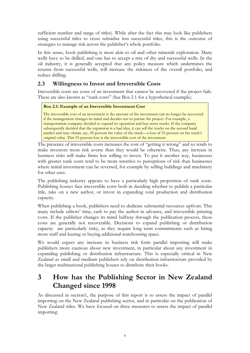sufficient number and range of titles). While after the fact this may look like publishers using successful titles to cross subsidise less successful titles, this is the outcome of strategies to manage risk across the publisher's whole portfolio.

In this sense, book publishing is most akin to oil and other minerals exploration. Many wells have to be drilled, and one has to accept a mix of dry and successful wells. In the oil industry, it is generally accepted that any policy measure which undermines the returns from successful wells, will increase the riskiness of the overall portfolio, and reduce drilling.

## **2.3 Willingness to Invest and Irreversible Costs**

Irreversible costs are costs of an investment that cannot be recovered if the project fails. These are also known as "sunk costs" (See Box 2.1 for a hypothetical example).

#### **Box 2.1: Example of an Irreversible Investment Cost**

The irreversible cost of an investment is the amount of the investment can no longer be recovered if the management changes its mind and decides not to pursue the project. For example, a transportation company decided to expand its operation and buy more trucks. If the company subsequently decided that the expansion is a bad idea, it can sell the trucks on the second hand market and may obtain, say, 45 percent the value of the truck—a loss of 55 percent on the truck's original value. This 55 percent loss is the irreversible cost of the investment

The presence of irreversible costs increases the cost of "getting it wrong" and so tends to make investors more risk averse than they would be otherwise. Thus, any increase in business risks will make firms less willing to invest. To put it another way, businesses with greater sunk costs tend to be more sensitive to perceptions of risk than businesses where initial investment can be reversed, for example by selling buildings and machinery for other uses.

The publishing industry appears to have a particularly high proportion of sunk costs. Publishing houses face irreversible costs both in deciding whether to publish a particular title, take on a new author, or invest in expanding total production and distribution capacity.

When publishing a book, publishers need to dedicate substantial resources upfront. This many include editors' time, cash to pay the author in advance, and irreversible printing costs. If the publisher changes its mind halfway through the publication process, these costs are generally not recoverable. Decisions to expand publishing or distribution capacity are particularly risky, as they require long term commitments such as hiring more staff and leasing or buying additional warehousing space.

We would expect any increase in business risk form parallel importing will make publishers more cautious about new investment, in particular about any investment in expanding publishing or distribution infrastructure. This is especially critical in New Zealand as small and medium publishers rely on distribution infrastructure provided by the larger multinational publishing houses to distribute their books.

# **3 How has the Publishing Sector in New Zealand Changed since 1998**

As discussed in section1, the purpose of this report is to assess the impact of parallel importing on the New Zealand publishing sector, and in particular on the publication of New Zealand titles. We have focused on three measures to assess the impact of parallel importing: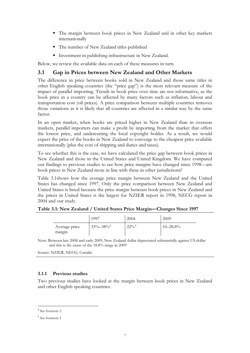- The margin between book prices in New Zealand and in other key markets internationally
- The number of New Zealand titles published
- Investment in publishing infrastructure in New Zealand.

Below, we review the available data on each of these measures in turn.

#### **3.1 Gap in Prices between New Zealand and Other Markets**

The difference in price between books sold in New Zealand and those same titles in other English speaking countries (the "price gap") is the most relevant measure of the impact of parallel importing. Trends in book price over time are not informative, as the book price in a country can be affected by many factors such as inflation, labour and transportation cost (oil prices). A price comparison between multiple countries removes those variations as it is likely that all countries are affected in a similar way by the same factor.

In an open market, when books are priced higher in New Zealand than in overseas markets, parallel importers can make a profit by importing from the market that offers the lowest price, and undercutting the local copyright holder. As a result, we would expect the price of the books in New Zealand to converge to the cheapest price available internationally (plus the cost of shipping and duties and taxes).

To see whether this is the case, we have calculated the price gap between book prices in New Zealand and those in the United States and United Kingdom. We have compared our findings to previous studies to see how price margins have changed since 1998—are book prices in New Zealand more in line with these in other jurisdictions?

Table 3.1shows how the average price margin between New Zealand and the United States has changed since 1997. Only the price comparison between New Zealand and United States is listed because the price margin between book prices in New Zealand and the prices in United States is the largest for NZIER report in 1998, NECG report in 2004 and our study.

|                         | 1997                       | 2004       | 2009          |
|-------------------------|----------------------------|------------|---------------|
| Average price<br>margin | $33\% - 38\%$ <sup>4</sup> | $22\%^{5}$ | $10 - 28.8\%$ |

| Table 3.1: New Zealand / United States Price Margin-Changes Since 1997 |  |  |
|------------------------------------------------------------------------|--|--|
|                                                                        |  |  |

Note: Between late 2008 and early 2009, New Zealand dollar depreciated substantially against US dollar and this is the cause of the 18.8% range in 2009

Source: NZIER, NECG, Castalia

#### **3.1.1 Previous studies**

Two previous studies have looked at the margin between book prices in New Zealand and other English speaking countries.

 4 See footnote 2

<sup>5</sup> See footnote 1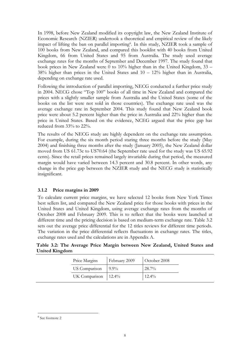In 1998, before New Zealand modified its copyright law, the New Zealand Institute of Economic Research (NZIER) undertook a theoretical and empirical review of the likely impact of lifting the ban on parallel importing<sup>6</sup>. In this study, NZIER took a sample of 100 books from New Zealand, and compared this booklist with 40 books from United Kingdom, 66 from United States and 95 from Australia. The study used average exchange rates for the months of September and December 1997. The study found that book prices in New Zealand were 0 to 10% higher than in the United Kingdom, 33 – 38% higher than prices in the United States and 10 – 12% higher than in Australia, depending on exchange rate used.

Following the introduction of parallel importing, NECG conducted a further price study in 2004. NECG chose "Top 100" books of all time in New Zealand and compared the prices with a slightly smaller sample from Australia and the United States (some of the books on the list were not sold in those countries). The exchange rate used was the average exchange rate in September 2004. This study found that New Zealand book price were about 5.2 percent higher than the price in Australia and 22% higher than the price in United States. Based on the evidence, NCEG argued that the price gap has reduced from 33% to 22%.

The results of the NECG study are highly dependent on the exchange rate assumption. For example, during the six month period staring three months before the study (May 2004) and finishing three months after the study (January 2005), the New Zealand dollar moved from US 61.73c to US70.64 (the September rate used for the study was US 65.92 cents). Since the retail prices remained largely invariable during that period, the measured margin would have varied between 14.3 percent and 30.8 percent. In other words, any change in the price gap between the NZIER study and the NECG study is statistically insignificant.

#### **3.1.2 Price margins in 2009**

To calculate current price margins, we have selected 12 books from New York Times best sellers list, and compared the New Zealand price for those books with prices in the United States and United Kingdom, using average exchange rates from the months of October 2008 and February 2009. This is to reflect that the books were launched at different time and the pricing decision is based on medium-term exchange rate. Table 3.2 sets out the average price differential for the 12 titles reviews for different time periods. The variation in the price differential reflects fluctuations in exchange rates. The titles, exchange rates used and the calculations are in Appendix A.

**Table 3.2: The Average Price Margin between New Zealand, United States and United Kingdom** 

| Price Margins                | February 2009 | October 2008 |
|------------------------------|---------------|--------------|
| US Comparison                | $9.9\%$       | $28.7\%$     |
| UK Comparison $\Big  12.4\%$ |               | $12.4\%$     |

 $\overline{a}$ 

<sup>6</sup> See footnote 2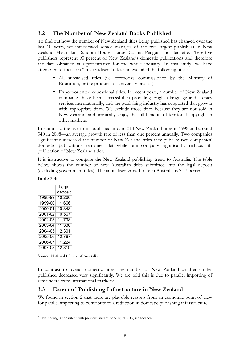### **3.2 The Number of New Zealand Books Published**

To find out how the number of New Zealand titles being published has changed over the last 10 years, we interviewed senior manages of the five largest publishers in New Zealand: Macmillan, Random House, Harper Collins, Penguin and Hachette. These five publishers represent 90 percent of New Zealand's domestic publications and therefore the data obtained is representative for the whole industry. In this study, we have attempted to focus on "unsubsidised" titles and excluded the following titles:

- All subsidised titles (i.e. textbooks commissioned by the Ministry of Education, or the products of university presses)
- Export-oriented educational titles. In recent years, a number of New Zealand companies have been successful in providing English language and literacy services internationally, and the publishing industry has supported that growth with appropriate titles. We exclude those titles because they are not sold in New Zealand, and, ironically, enjoy the full benefits of territorial copyright in other markets.

In summary, the five firms published around 314 New Zealand titles in 1998 and around 340 in 2008—an average growth rate of less than one percent annually. Two companies significantly increased the number of New Zealand titles they publish; two companies' domestic publications remained flat while one company significantly reduced its publication of New Zealand titles.

It is instructive to compare the New Zealand publishing trend to Australia. The table below shows the number of new Australian titles submitted into the legal deposit (excluding government titles). The annualised growth rate in Australia is 2.47 percent.

**Table 3.3:** 

|                                       | Legal   |
|---------------------------------------|---------|
|                                       | deposit |
| 1998-99                               | 10,260  |
| 1999-00 11,666                        |         |
| 2000-01                               | 10,348  |
| 2001-02 10,567                        |         |
| 2002-03 11,798                        |         |
| 2003-04 11,336                        |         |
| 2004-05 12,301                        |         |
| 2005-06                               | 12,767  |
| 2006-07                               | 11,224  |
| 2007-08                               | 12,819  |
| Source: National Library of Australia |         |
|                                       |         |

In contrast to overall domestic titles, the number of New Zealand children's titles published decreased very significantly. We are told this is due to parallel importing of remainders from international markets<sup>7</sup>.

### **3.3 Extent of Publishing Infrastructure in New Zealand**

We found in section 2 that there are plausible reasons from an economic point of view for parallel importing to contribute to a reduction in domestic publishing infrastructure.

 7 This finding is consistent with previous studies done by NECG, see footnote 1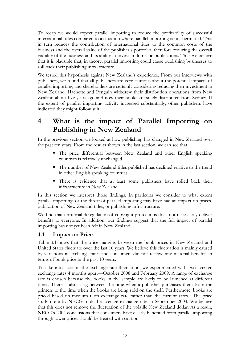To recap we would expect parallel importing to reduce the profitability of successful international titles compared to a situation where parallel importing is not permitted. This in turn reduces the contribution of international titles to the common costs of the business and the overall value of the publisher's portfolio, therefore reducing the overall viability of the business and its ability to invest in domestic publications. Thus we believe that it is plausible that, in theory, parallel importing could cause publishing businesses to roll back their publishing infrastructure.

We tested this hypothesis against New Zealand's experience. From our interviews with publishers, we found that all publishers are very cautious about the potential impacts of parallel importing, and shareholders are certainly considering reducing their investment in New Zealand. Hachette and Penguin withdrew their distribution operations from New Zealand about five years ago and now their books are solely distributed from Sydney. If the extent of parallel importing activity increased substantially, other publishers have indicated they might follow suit.

# **4 What is the impact of Parallel Importing on Publishing in New Zealand**

In the previous section we looked at how publishing has changed in New Zealand over the past ten years. From the results shown in the last section, we can see that

- The price differential between New Zealand and other English speaking countries is relatively unchanged
- The number of New Zealand titles published has declined relative to the trend in other English speaking countries
- There is evidence that at least some publishers have rolled back their infrastructure in New Zealand.

In this section we interpret those findings. In particular we consider to what extent parallel importing, or the threat of parallel importing may have had an impact on prices, publication of New Zealand titles, or publishing infrastructure.

We find that territorial deregulation of copyright protections does not necessarily deliver benefits to everyone. In addition, our findings suggest that the full impact of parallel importing has not yet been felt in New Zealand.

### **4.1 Impact on Price**

Table 3.1shows that the price margins between the book prices in New Zealand and United States fluctuate over the last 10 years. We believe this fluctuation is mainly caused by variations in exchange rates and consumers did not receive any material benefits in terms of book price in the past 10 years.

To take into account the exchange rate fluctuation, we experimented with two average exchange rates 4 months apart—October 2008 and February 2009. A range of exchange rate is chosen because the books in the sample are likely to be launched at different times. There is also a lag between the time when a publisher purchases them from the printers to the time when the books are being sold on the shelf. Furthermore, books are priced based on medium term exchange rate rather than the current rates. The price study done by NECG took the average exchange rate in September 2004. We believe that this does not remove the fluctuation of the volatile New Zealand dollar. As a result, NECG's 2004 conclusions that consumers have clearly benefited from parallel importing through lower prices should be treated with caution.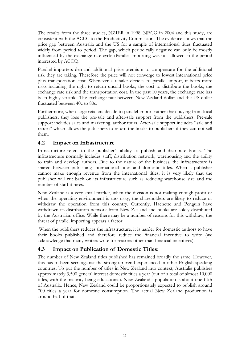The results from the three studies, NZIER in 1998, NECG in 2004 and this study, are consistent with the ACCC to the Productivity Commission. The evidence shows that the price gap between Australia and the US for a sample of international titles fluctuated widely from period to period. The gap, which periodically negative can only be mostly influenced by the exchange rate cycle (Parallel importing was not allowed in the period interested by ACCC).

Parallel importers demand additional price premium to compensate for the additional risk they are taking. Therefore the price will not converge to lowest international price plus transportation cost. Whenever a retailer decides to parallel import, it bears more risks including the right to return unsold books, the cost to distribute the books, the exchange rate risk and the transportation cost. In the past 10 years, the exchange rate has been highly volatile. The exchange rate between New Zealand dollar and the US dollar fluctuated between 40c to 80c.

Furthermore, when large retailers decide to parallel import rather than buying from local publishers, they lose the pre-sale and after-sale support from the publishers. Pre-sale support includes sales and marketing, author tours. After-sale support includes "sale and return" which allows the publishers to return the books to publishers if they can not sell them.

## **4.2 Impact on Infrastructure**

Infrastructure refers to the publisher's ability to publish and distribute books. The infrastructure normally includes staff, distribution network, warehousing and the ability to train and develop authors. Due to the nature of the business, the infrastructure is shared between publishing international titles and domestic titles. When a publisher cannot make enough revenue from the international titles, it is very likely that the publisher will cut back on its infrastructure such as reducing warehouse size and the number of staff it hires.

New Zealand is a very small market, when the division is not making enough profit or when the operating environment is too risky, the shareholders are likely to reduce or withdraw the operation from this country. Currently, Hachette and Penguin have withdrawn its distribution network from New Zealand and books are solely distributed by the Australian office. While there may be a number of reasons for this withdraw, the threat of parallel importing appears a factor.

 When the publishers reduces the infrastructure, it is harder for domestic authors to have their books published and therefore reduce the financial incentive to write (we acknowledge that many writers write for reasons other than financial incentives).

### **4.3 Impact on Publication of Domestic Titles:**

The number of New Zealand titles published has remained broadly the same. However, this has to been seen against the strong up-trend experienced in other English speaking countries. To put the number of titles in New Zealand into context, Australia publishes approximately 3,500 general interest domestic titles a year (out of a total of almost 10,000 titles, with the majority being educational). New Zealand's population is about one fifth of Australia. Hence, New Zealand could be proportionately expected to publish around 700 titles a year for domestic consumption. The actual New Zealand production is around half of that.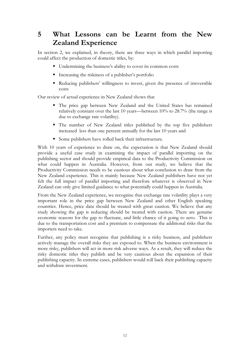# **5 What Lessons can be Learnt from the New Zealand Experience**

In section 2, we explained, in theory, there are three ways in which parallel importing could affect the production of domestic titles, by:

- Undermining the business's ability to cover its common costs
- Increasing the riskiness of a publisher's portfolio
- Reducing publishers' willingness to invest, given the presence of irreversible costs

Our review of actual experience in New Zealand shows that

- The price gap between New Zealand and the United States has remained relatively constant over the last 10 years—between 10% to 28.7% (the range is due to exchange rate volatility).
- The number of New Zealand titles published by the top five publishers increased less than one percent annually for the last 10 years and
- Some publishers have rolled back their infrastructure.

With 10 years of experience to draw on, the expectation is that New Zealand should provide a useful case study in examining the impact of parallel importing on the publishing sector and should provide empirical data to the Productivity Commission on what could happen in Australia. However, from our study, we believe that the Productivity Commission needs to be cautious about what conclusion to draw from the New Zealand experience. This is mainly because New Zealand publishers have not yet felt the full impact of parallel importing and therefore whatever is observed in New Zealand can only give limited guidance to what potentially could happen in Australia.

From the New Zealand experience, we recognise that exchange rate volatility plays a very important role in the price gap between New Zealand and other English speaking countries. Hence, price data should be treated with great caution. We believe that any study showing the gap is reducing should be treated with caution. There are genuine economic reasons for the gap to fluctuate, and little chance of it going to zero. This is due to the transportation cost and a premium to compensate the additional risks that the importers need to take.

Further, any policy must recognise that publishing is a risky business, and publishers actively manage the overall risks they are exposed to. When the business environment is more risky, publishers will act in more risk adverse ways. As a result, they will reduce the risky domestic titles they publish and be very cautious about the expansion of their publishing capacity. In extreme cases, publishers would roll back their publishing capacity and withdraw investment.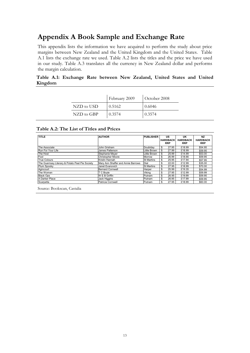# **Appendix A Book Sample and Exchange Rate**

This appendix lists the information we have acquired to perform the study about price margins between New Zealand and the United Kingdom and the United States. Table A.1 lists the exchange rate we used. Table A.2 lists the titles and the price we have used in our study. Table A.3 translates all the currency in New Zealand dollar and performs the margin calculation.

#### **Table A.1: Exchange Rate between New Zealand, United States and United Kingdom**

|            | February 2009 | October 2008 |
|------------|---------------|--------------|
| NZD to USD | 0.5162        | 0.6046       |
| NZD to GBP | 0.3574        | 0.3574       |

#### **Table A.2: The List of Titles and Prices**

| <b>TITLE</b>                                    | <b>AUTHOR</b>                      | <b>PUBLISHER</b>    | <b>US</b><br><b>HARDBACK</b><br><b>RRP</b> | UK<br><b>HARDBACK</b><br><b>RRP</b> | <b>NZ</b><br><b>HARDBACK</b><br><b>RRP</b> |
|-------------------------------------------------|------------------------------------|---------------------|--------------------------------------------|-------------------------------------|--------------------------------------------|
| The Associate                                   | John Grisham                       | Doubldav            | \$<br>27.95                                | £18.99                              | \$54.95                                    |
| Run For Your Life                               | James Patterson                    | <b>Little Brown</b> | \$<br>27.99                                | £18.99                              | \$59.95                                    |
| The Host                                        | Stephanie Meyer                    | Little Brown        | \$<br>25.99                                | £14.99                              | \$53.00                                    |
| Fool                                            | <b>Christopher Moore</b>           | Morrow              | \$<br>26.99                                | £18.66                              | \$59.95                                    |
| <b>True Colours</b>                             | Kristin Hannah                     | <b>St Martins</b>   | \$<br>25.95                                | £17.94                              | \$57.95                                    |
| The Guernsey Literary & Potato Peel Pie Society | Mary Ann Shaffer and Annie Barrows | Dial                | \$<br>22.00                                | £12.99                              | \$35.00                                    |
| Plum Spooky                                     | Janet Evanovich                    | <b>St Martins</b>   | \$<br>27.95                                | £18.99                              | \$70.00                                    |
| Agincourt                                       | <b>Bernard Cornwell</b>            | Harper              | \$<br>25.99                                | £19.35                              | \$54.99                                    |
| The Women                                       | T C Bovle                          | Viking              | \$<br>27.95                                | £12.99                              | \$59.99                                    |
| <b>Black Ops</b>                                | W E B Griffin                      | Putnam              | \$<br>26.95                                | £19.99                              | \$59.95                                    |
| A Darker Place                                  | Jack Higgins                       | Putnam              | \$<br>26.95                                | £17.99                              | \$59.95                                    |
| Scarpetta                                       | Patricia Cornwell                  | Putnam              | \$<br>27.95                                | £18.99                              | \$60.00                                    |

Source: Bookscan, Castalia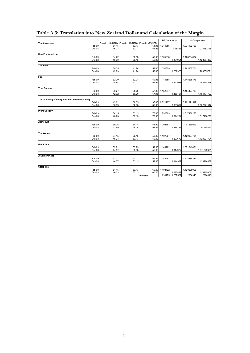|                                                 |       |                                                       |                | <b>US Comparison</b> |          | <b>UK Comparison</b> |             |
|-------------------------------------------------|-------|-------------------------------------------------------|----------------|----------------------|----------|----------------------|-------------|
| <b>The Associate</b>                            |       | Price in US (NZD) Price in UK (NZD) Price in NZ (NZD) |                |                      |          |                      |             |
| Feb-09                                          | 54.15 | 53.13                                                 | 54.95          | 1.014855             |          | 1.034182728          |             |
| Oct-08                                          | 46.23 | 53.13                                                 | 54.95          |                      | 1.18865  |                      | 1.034182728 |
| <b>Run For Your Life</b>                        |       |                                                       |                |                      |          |                      |             |
| Feb-09                                          | 54.22 | 53.13                                                 | 59.95          | 1.105616             |          | 1.128284887          |             |
| Oct-08                                          | 46.30 | 53.13                                                 | 59.95          |                      | 1.294954 |                      | 1.128284887 |
|                                                 |       |                                                       |                |                      |          |                      |             |
| <b>The Host</b>                                 |       |                                                       |                |                      |          |                      |             |
| Feb-09                                          | 50.35 | 41.94                                                 | 53.00          | 1.052659             |          | 1.263655771          |             |
| Oct-08                                          | 42.99 | 41.94                                                 | 53.00          |                      | 1.232928 |                      | 1.263655771 |
|                                                 |       |                                                       |                |                      |          |                      |             |
| Fool                                            | 52.29 |                                                       |                |                      |          |                      |             |
| Feb-09<br>Oct-08                                | 44.64 | 52.21<br>52.21                                        | 59.95<br>59.95 | 1.14658              | 1.342933 | 1.148238478          | 1.148238478 |
|                                                 |       |                                                       |                |                      |          |                      |             |
| <b>True Colours</b>                             |       |                                                       |                |                      |          |                      |             |
| Feb-09                                          | 50.27 | 50.20                                                 | 57.95          | 1.152747             |          | 1.154477703          |             |
| Oct-08                                          | 42.92 | 50.20                                                 | 57.95          |                      | 1.350157 |                      | 1.154477703 |
|                                                 |       |                                                       |                |                      |          |                      |             |
| The Guernsey Literary & Potato Peel Pie Society |       |                                                       |                |                      |          |                      |             |
| Feb-09                                          | 42.62 | 36.35                                                 | 35.00          | 0.821227             |          | 0.962971517          |             |
| Oct-08                                          | 36.39 | 36.35                                                 | 35.00          |                      | 0.961864 |                      | 0.962971517 |
| <b>Plum Spooky</b>                              |       |                                                       |                |                      |          |                      |             |
| Feb-09                                          | 54.15 | 53.13                                                 | 70.00          | 1.292809             |          | 1.317430226          |             |
| Oct-08                                          | 46.23 | 53.13                                                 | 70.00          |                      | 1.514204 |                      | 1.317430226 |
|                                                 |       |                                                       |                |                      |          |                      |             |
| Agincourt                                       |       |                                                       |                |                      |          |                      |             |
| Feb-09                                          | 50.35 | 54.14                                                 | 54.99          | 1.092183             |          | 1.01568093           |             |
| Oct-08                                          | 42.99 | 54.14                                                 | 54.99          |                      | 1.279221 |                      | 1.01568093  |
| The Women                                       |       |                                                       |                |                      |          |                      |             |
| Feb-09                                          | 54.15 | 53.13                                                 | 59.99          | 1.107937             |          | 1.129037704          |             |
| Oct-08                                          | 46.23 | 53.13                                                 | 59.99          |                      | 1.297673 |                      | 1.129037704 |
|                                                 |       |                                                       |                |                      |          |                      |             |
| <b>Black Ops</b>                                |       |                                                       |                |                      |          |                      |             |
| Feb-09                                          | 52.21 | 55.93                                                 | 59.95          | 1.148282             |          | 1.071842421          |             |
| Oct-08                                          | 44.57 | 55.93                                                 | 59.95          |                      | 1.344927 |                      | 1.071842421 |
| <b>A Darker Place</b>                           |       |                                                       |                |                      |          |                      |             |
| Feb-09                                          | 52.21 | 53.13                                                 | 59.95          | 1.148282             |          | 1.128284887          |             |
| Oct-08                                          | 44.57 | 53.13                                                 | 59.95          |                      | 1.344927 |                      | 1.128284887 |
|                                                 |       |                                                       |                |                      |          |                      |             |
| <b>Scarpetta</b>                                |       |                                                       |                |                      |          |                      |             |
| Feb-09                                          | 54.15 | 53.13                                                 | 60.00          | 1.108122             |          | 1.129225908          |             |
| Oct-08                                          | 46.23 | 53.13                                                 | 60.00          |                      | 1.297889 |                      | 1.129225908 |
|                                                 |       |                                                       | Average:       | 1.099275             | 1.287527 | 1.12360943           | 1.12360943  |

## **Table A.3: Translation into New Zealand Dollar and Calculation of the Margin**